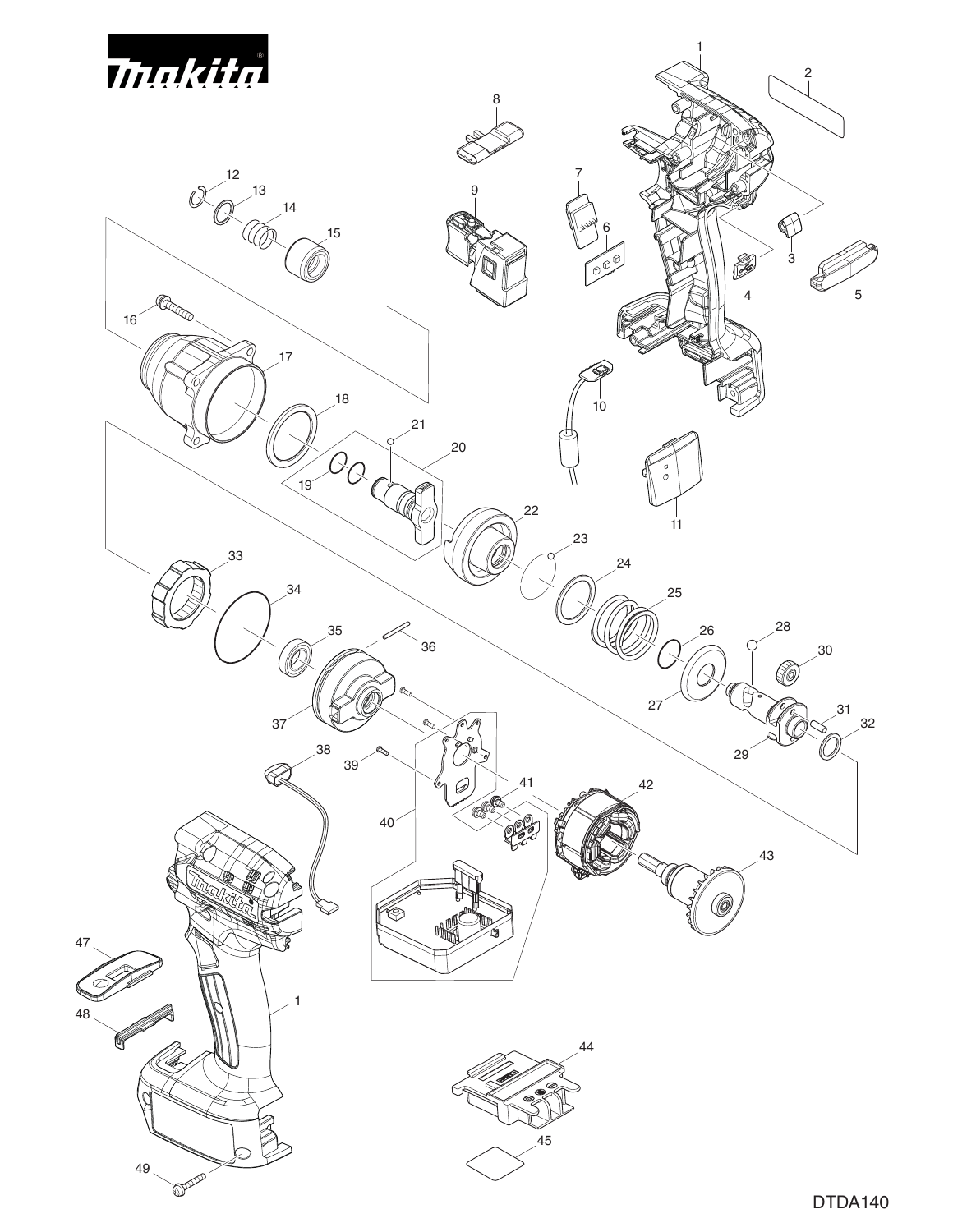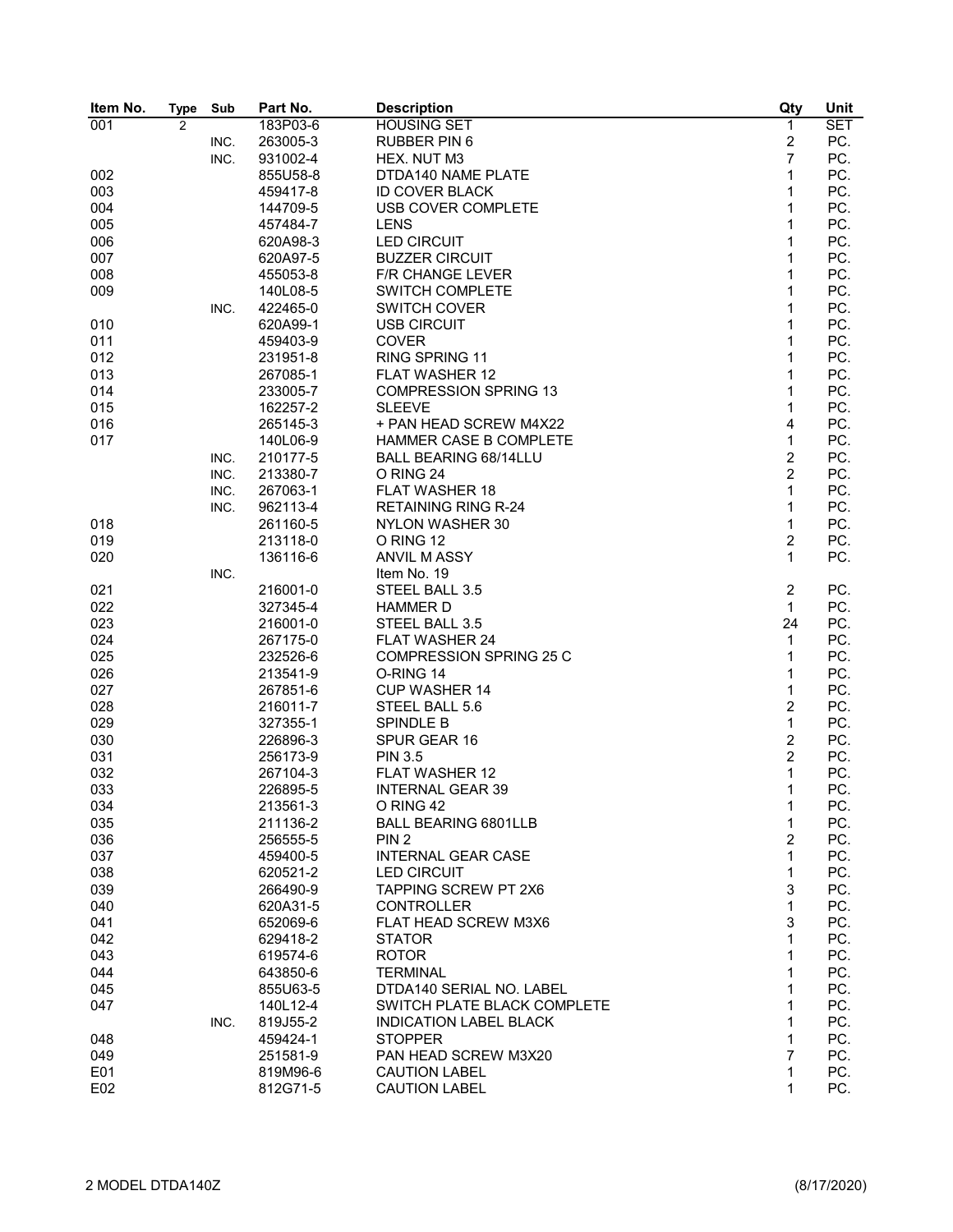| Item No. | <b>Type</b>    | Sub  | Part No. | <b>Description</b>             | Qty              | Unit       |
|----------|----------------|------|----------|--------------------------------|------------------|------------|
| 001      | $\overline{2}$ |      | 183P03-6 | <b>HOUSING SET</b>             | $\mathbf{1}$     | <b>SET</b> |
|          |                | INC. | 263005-3 | <b>RUBBER PIN 6</b>            | $\overline{2}$   | PC.        |
|          |                | INC. | 931002-4 | HEX. NUT M3                    | $\overline{7}$   | PC.        |
| 002      |                |      | 855U58-8 | DTDA140 NAME PLATE             | 1                | PC.        |
| 003      |                |      | 459417-8 | <b>ID COVER BLACK</b>          | 1                | PC.        |
| 004      |                |      | 144709-5 | <b>USB COVER COMPLETE</b>      | 1                | PC.        |
| 005      |                |      | 457484-7 | <b>LENS</b>                    | $\mathbf{1}$     | PC.        |
| 006      |                |      | 620A98-3 | <b>LED CIRCUIT</b>             | 1                | PC.        |
| 007      |                |      | 620A97-5 | <b>BUZZER CIRCUIT</b>          | 1                | PC.        |
| 008      |                |      | 455053-8 | <b>F/R CHANGE LEVER</b>        | 1                | PC.        |
| 009      |                |      | 140L08-5 | <b>SWITCH COMPLETE</b>         | 1                | PC.        |
|          |                |      | 422465-0 | <b>SWITCH COVER</b>            | 1                | PC.        |
| 010      |                | INC. | 620A99-1 | <b>USB CIRCUIT</b>             | 1                | PC.        |
|          |                |      |          |                                |                  |            |
| 011      |                |      | 459403-9 | <b>COVER</b>                   | 1                | PC.        |
| 012      |                |      | 231951-8 | RING SPRING 11                 | 1                | PC.        |
| 013      |                |      | 267085-1 | <b>FLAT WASHER 12</b>          | $\mathbf{1}$     | PC.        |
| 014      |                |      | 233005-7 | <b>COMPRESSION SPRING 13</b>   | 1                | PC.        |
| 015      |                |      | 162257-2 | <b>SLEEVE</b>                  | 1                | PC.        |
| 016      |                |      | 265145-3 | + PAN HEAD SCREW M4X22         | 4                | PC.        |
| 017      |                |      | 140L06-9 | HAMMER CASE B COMPLETE         | $\mathbf{1}$     | PC.        |
|          |                | INC. | 210177-5 | BALL BEARING 68/14LLU          | $\overline{2}$   | PC.        |
|          |                | INC. | 213380-7 | O RING 24                      | $\overline{2}$   | PC.        |
|          |                | INC. | 267063-1 | <b>FLAT WASHER 18</b>          | 1                | PC.        |
|          |                | INC. | 962113-4 | <b>RETAINING RING R-24</b>     | 1                | PC.        |
| 018      |                |      | 261160-5 | <b>NYLON WASHER 30</b>         | 1                | PC.        |
| 019      |                |      | 213118-0 | O RING 12                      | $\boldsymbol{2}$ | PC.        |
| 020      |                |      | 136116-6 | <b>ANVIL M ASSY</b>            | $\mathbf{1}$     | PC.        |
|          |                | INC. |          | Item No. 19                    |                  |            |
| 021      |                |      | 216001-0 | STEEL BALL 3.5                 | $\overline{c}$   | PC.        |
| 022      |                |      | 327345-4 | <b>HAMMER D</b>                | $\mathbf{1}$     | PC.        |
| 023      |                |      | 216001-0 | STEEL BALL 3.5                 | 24               | PC.        |
| 024      |                |      | 267175-0 | <b>FLAT WASHER 24</b>          | $\mathbf{1}$     | PC.        |
| 025      |                |      | 232526-6 | <b>COMPRESSION SPRING 25 C</b> | 1                | PC.        |
| 026      |                |      | 213541-9 | O-RING 14                      | 1                | PC.        |
| 027      |                |      | 267851-6 | <b>CUP WASHER 14</b>           | 1                | PC.        |
|          |                |      |          |                                |                  |            |
| 028      |                |      | 216011-7 | STEEL BALL 5.6                 | $\overline{2}$   | PC.        |
| 029      |                |      | 327355-1 | <b>SPINDLE B</b>               | $\mathbf{1}$     | PC.        |
| 030      |                |      | 226896-3 | SPUR GEAR 16                   | $\overline{2}$   | PC.        |
| 031      |                |      | 256173-9 | <b>PIN 3.5</b>                 | $\overline{c}$   | PC.        |
| 032      |                |      | 267104-3 | <b>FLAT WASHER 12</b>          | 1                | PC.        |
| 033      |                |      | 226895-5 | <b>INTERNAL GEAR 39</b>        | 1                | PC.        |
| 034      |                |      | 213561-3 | O RING 42                      | 1                | PC.        |
| 035      |                |      | 211136-2 | <b>BALL BEARING 6801LLB</b>    | 1                | PC.        |
| 036      |                |      | 256555-5 | PIN <sub>2</sub>               | $\overline{2}$   | PC.        |
| 037      |                |      | 459400-5 | <b>INTERNAL GEAR CASE</b>      | 1                | PC.        |
| 038      |                |      | 620521-2 | <b>LED CIRCUIT</b>             | 1                | PC.        |
| 039      |                |      | 266490-9 | <b>TAPPING SCREW PT 2X6</b>    | 3                | PC.        |
| 040      |                |      | 620A31-5 | <b>CONTROLLER</b>              | 1                | PC.        |
| 041      |                |      | 652069-6 | FLAT HEAD SCREW M3X6           | 3                | PC.        |
| 042      |                |      | 629418-2 | <b>STATOR</b>                  | 1                | PC.        |
| 043      |                |      | 619574-6 | <b>ROTOR</b>                   | 1                | PC.        |
| 044      |                |      | 643850-6 | <b>TERMINAL</b>                | 1                | PC.        |
| 045      |                |      | 855U63-5 | DTDA140 SERIAL NO. LABEL       | 1                | PC.        |
| 047      |                |      | 140L12-4 | SWITCH PLATE BLACK COMPLETE    | 1                | PC.        |
|          |                | INC. | 819J55-2 | <b>INDICATION LABEL BLACK</b>  | 1                | PC.        |
| 048      |                |      | 459424-1 | <b>STOPPER</b>                 | 1                | PC.        |
| 049      |                |      | 251581-9 | PAN HEAD SCREW M3X20           | 7                | PC.        |
| E01      |                |      | 819M96-6 | <b>CAUTION LABEL</b>           | 1                | PC.        |
| E02      |                |      | 812G71-5 | <b>CAUTION LABEL</b>           | 1                | PC.        |
|          |                |      |          |                                |                  |            |